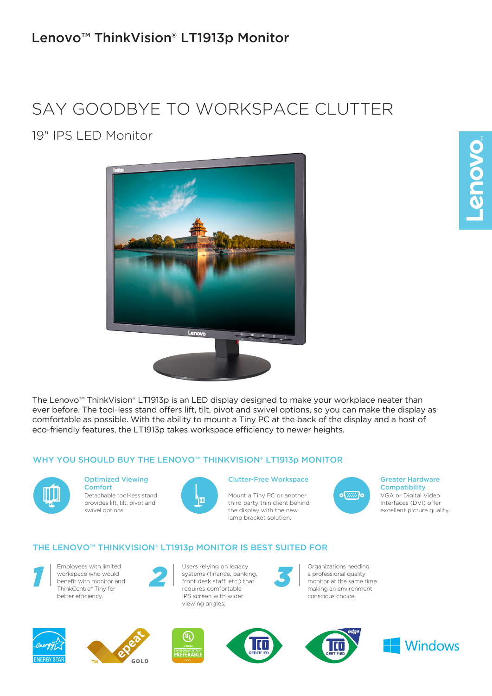## Lenovo™ ThinkVision® LT1913p Monitor

# SAY GOODBYE TO WORKSPACE CLUTTER

19" IPS LED Monitor



The Lenovo™ ThinkVision® LT1913p is an LED display designed to make your workplace neater than ever before. The tool-less stand offers lift, tilt, pivot and swivel options, so you can make the display as comfortable as possible. With the ability to mount a Tiny PC at the back of the display and a host of eco-friendly features, the LT1913p takes workspace efficiency to newer heights.

## WHY YOU SHOULD BUY THE LENOVO™ THINKVISION® LT1913p MONITOR



## Optimized Viewing

Detachable tool-less stand provides lift, tilt, pivot and swivel options. Comfort



### Clutter-Free Workspace

Mount a Tiny PC or another third party thin client behind the display with the new lamp bracket solution.



VGA or Digital Video Interfaces (DVI) offer excellent picture quality. Greater Hardware **Compatibility** 

## THE LENOVO™ THINKVISION® LT1913p MONITOR IS BEST SUITED FOR



Employees with limited workspace who would benefit with monitor and ThinkCentre® Tiny for better efficiency.



**1** Employees with limited<br>
workspace who would<br>
benefit with monitor and<br>
ThinkCentre® Tiny for<br>
ThinkCentre® Tiny for<br>
ThinkCentre® Tiny for systems (finance, banking, front desk staff, etc.) that requires comfortable IPS screen with wider viewing angles. *2* Users relying on legacy<br>
systems (finance, banking,<br>
front desk staff, etc.) that<br>
requires comfortable<br>  $\begin{array}{|c|c|c|c|}\n\hline\n\text{Equation: } & \text{Equation: } & \text{Equation: } & \text{Equation: } & \text{Equation: } & \text{Equation: } & \text{Equation: } & \text{Equation: } & \text{Equation: } & \text{Equation: } & \text{Equation: } & \text{Equ$ 



a professional quality monitor at the same time making an environment conscious choice.